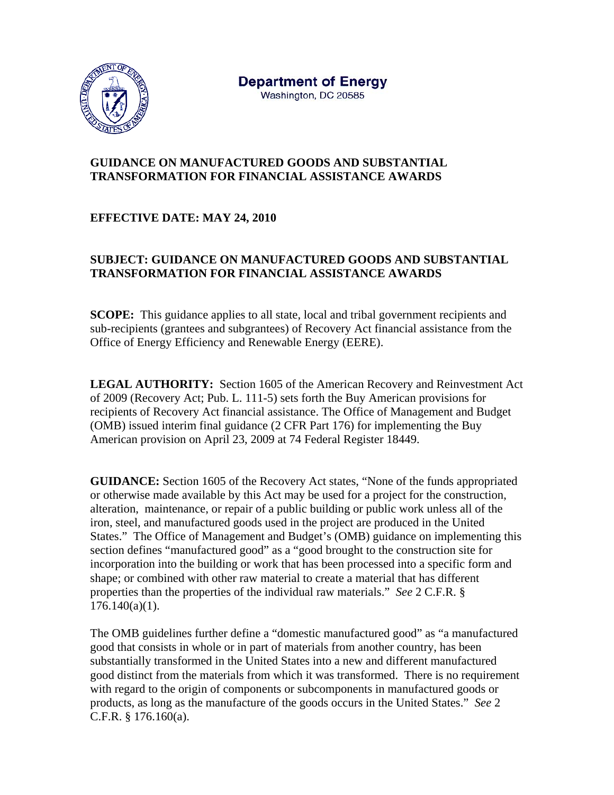

## **GUIDANCE ON MANUFACTURED GOODS AND SUBSTANTIAL TRANSFORMATION FOR FINANCIAL ASSISTANCE AWARDS**

## **EFFECTIVE DATE: MAY 24, 2010**

## **SUBJECT: GUIDANCE ON MANUFACTURED GOODS AND SUBSTANTIAL TRANSFORMATION FOR FINANCIAL ASSISTANCE AWARDS**

**SCOPE:** This guidance applies to all state, local and tribal government recipients and sub-recipients (grantees and subgrantees) of Recovery Act financial assistance from the Office of Energy Efficiency and Renewable Energy (EERE).

**LEGAL AUTHORITY:** Section 1605 of the American Recovery and Reinvestment Act of 2009 (Recovery Act; Pub. L. 111-5) sets forth the Buy American provisions for recipients of Recovery Act financial assistance. The Office of Management and Budget (OMB) issued interim final guidance (2 CFR Part 176) for implementing the Buy American provision on April 23, 2009 at 74 Federal Register 18449.

**GUIDANCE:** Section 1605 of the Recovery Act states, "None of the funds appropriated or otherwise made available by this Act may be used for a project for the construction, alteration, maintenance, or repair of a public building or public work unless all of the iron, steel, and manufactured goods used in the project are produced in the United States." The Office of Management and Budget's (OMB) guidance on implementing this section defines "manufactured good" as a "good brought to the construction site for incorporation into the building or work that has been processed into a specific form and shape; or combined with other raw material to create a material that has different properties than the properties of the individual raw materials." *See* 2 C.F.R. §  $176.140(a)(1)$ .

The OMB guidelines further define a "domestic manufactured good" as "a manufactured good that consists in whole or in part of materials from another country, has been substantially transformed in the United States into a new and different manufactured good distinct from the materials from which it was transformed. There is no requirement with regard to the origin of components or subcomponents in manufactured goods or products, as long as the manufacture of the goods occurs in the United States." *See* 2 C.F.R. § 176.160(a).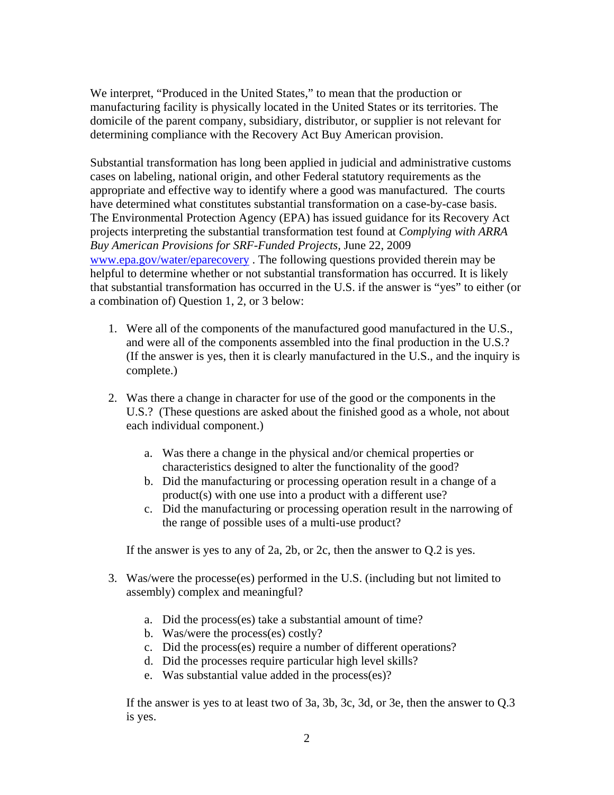We interpret, "Produced in the United States," to mean that the production or manufacturing facility is physically located in the United States or its territories. The domicile of the parent company, subsidiary, distributor, or supplier is not relevant for determining compliance with the Recovery Act Buy American provision.

Substantial transformation has long been applied in judicial and administrative customs cases on labeling, national origin, and other Federal statutory requirements as the appropriate and effective way to identify where a good was manufactured. The courts have determined what constitutes substantial transformation on a case-by-case basis. The Environmental Protection Agency (EPA) has issued guidance for its Recovery Act projects interpreting the substantial transformation test found at *Complying with ARRA Buy American Provisions for SRF-Funded Projects,* June 22, 2009 www.epa.gov/water/eparecovery . The following questions provided therein may be helpful to determine whether or not substantial transformation has occurred. It is likely that substantial transformation has occurred in the U.S. if the answer is "yes" to either (or a combination of) Question 1, 2, or 3 below:

- 1. Were all of the components of the manufactured good manufactured in the U.S., and were all of the components assembled into the final production in the U.S.? (If the answer is yes, then it is clearly manufactured in the U.S., and the inquiry is complete.)
- 2. Was there a change in character for use of the good or the components in the U.S.? (These questions are asked about the finished good as a whole, not about each individual component.)
	- a. Was there a change in the physical and/or chemical properties or characteristics designed to alter the functionality of the good?
	- b. Did the manufacturing or processing operation result in a change of a product(s) with one use into a product with a different use?
	- c. Did the manufacturing or processing operation result in the narrowing of the range of possible uses of a multi-use product?

If the answer is yes to any of 2a, 2b, or 2c, then the answer to Q.2 is yes.

- 3. Was/were the processe(es) performed in the U.S. (including but not limited to assembly) complex and meaningful?
	- a. Did the process(es) take a substantial amount of time?
	- b. Was/were the process(es) costly?
	- c. Did the process(es) require a number of different operations?
	- d. Did the processes require particular high level skills?
	- e. Was substantial value added in the process(es)?

If the answer is yes to at least two of 3a, 3b, 3c, 3d, or 3e, then the answer to Q.3 is yes.